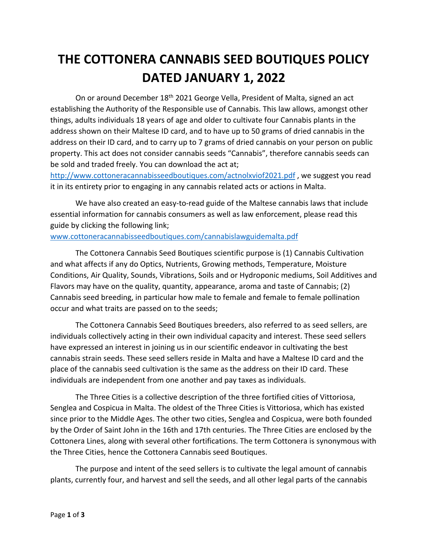## **THE COTTONERA CANNABIS SEED BOUTIQUES POLICY DATED JANUARY 1, 2022**

On or around December 18<sup>th</sup> 2021 George Vella, President of Malta, signed an act establishing the Authority of the Responsible use of Cannabis. This law allows, amongst other things, adults individuals 18 years of age and older to cultivate four Cannabis plants in the address shown on their Maltese ID card, and to have up to 50 grams of dried cannabis in the address on their ID card, and to carry up to 7 grams of dried cannabis on your person on public property. This act does not consider cannabis seeds "Cannabis", therefore cannabis seeds can be sold and traded freely. You can download the act at;

http://www.cottoneracannabisseedboutiques.com/actnolxviof2021.pdf , we suggest you read it in its entirety prior to engaging in any cannabis related acts or actions in Malta.

We have also created an easy-to-read guide of the Maltese cannabis laws that include essential information for cannabis consumers as well as law enforcement, please read this guide by clicking the following link;

## www.cottoneracannabisseedboutiques.com/cannabislawguidemalta.pdf

The Cottonera Cannabis Seed Boutiques scientific purpose is (1) Cannabis Cultivation and what affects if any do Optics, Nutrients, Growing methods, Temperature, Moisture Conditions, Air Quality, Sounds, Vibrations, Soils and or Hydroponic mediums, Soil Additives and Flavors may have on the quality, quantity, appearance, aroma and taste of Cannabis; (2) Cannabis seed breeding, in particular how male to female and female to female pollination occur and what traits are passed on to the seeds;

The Cottonera Cannabis Seed Boutiques breeders, also referred to as seed sellers, are individuals collectively acting in their own individual capacity and interest. These seed sellers have expressed an interest in joining us in our scientific endeavor in cultivating the best cannabis strain seeds. These seed sellers reside in Malta and have a Maltese ID card and the place of the cannabis seed cultivation is the same as the address on their ID card. These individuals are independent from one another and pay taxes as individuals.

The Three Cities is a collective description of the three fortified cities of Vittoriosa, Senglea and Cospicua in Malta. The oldest of the Three Cities is Vittoriosa, which has existed since prior to the Middle Ages. The other two cities, Senglea and Cospicua, were both founded by the Order of Saint John in the 16th and 17th centuries. The Three Cities are enclosed by the Cottonera Lines, along with several other fortifications. The term Cottonera is synonymous with the Three Cities, hence the Cottonera Cannabis seed Boutiques.

The purpose and intent of the seed sellers is to cultivate the legal amount of cannabis plants, currently four, and harvest and sell the seeds, and all other legal parts of the cannabis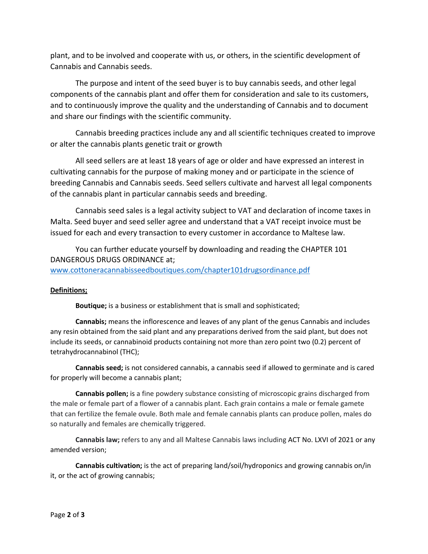plant, and to be involved and cooperate with us, or others, in the scientific development of Cannabis and Cannabis seeds.

The purpose and intent of the seed buyer is to buy cannabis seeds, and other legal components of the cannabis plant and offer them for consideration and sale to its customers, and to continuously improve the quality and the understanding of Cannabis and to document and share our findings with the scientific community.

Cannabis breeding practices include any and all scientific techniques created to improve or alter the cannabis plants genetic trait or growth

 All seed sellers are at least 18 years of age or older and have expressed an interest in cultivating cannabis for the purpose of making money and or participate in the science of breeding Cannabis and Cannabis seeds. Seed sellers cultivate and harvest all legal components of the cannabis plant in particular cannabis seeds and breeding.

 Cannabis seed sales is a legal activity subject to VAT and declaration of income taxes in Malta. Seed buyer and seed seller agree and understand that a VAT receipt invoice must be issued for each and every transaction to every customer in accordance to Maltese law.

You can further educate yourself by downloading and reading the CHAPTER 101 DANGEROUS DRUGS ORDINANCE at; www.cottoneracannabisseedboutiques.com/chapter101drugsordinance.pdf

## **Definitions;**

**Boutique;** is a business or establishment that is small and sophisticated;

**Cannabis;** means the inflorescence and leaves of any plant of the genus Cannabis and includes any resin obtained from the said plant and any preparations derived from the said plant, but does not include its seeds, or cannabinoid products containing not more than zero point two (0.2) percent of tetrahydrocannabinol (THC);

**Cannabis seed;** is not considered cannabis, a cannabis seed if allowed to germinate and is cared for properly will become a cannabis plant;

**Cannabis pollen;** is a fine powdery substance consisting of microscopic grains discharged from the male or female part of a flower of a cannabis plant. Each grain contains a male or female gamete that can fertilize the female ovule. Both male and female cannabis plants can produce pollen, males do so naturally and females are chemically triggered.

**Cannabis law;** refers to any and all Maltese Cannabis laws including ACT No. LXVI of 2021 or any amended version;

**Cannabis cultivation;** is the act of preparing land/soil/hydroponics and growing cannabis on/in it, or the act of growing cannabis;